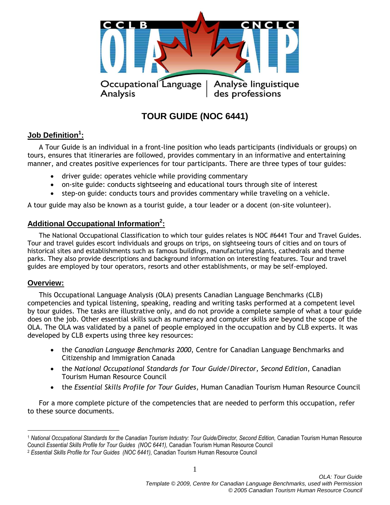

# **TOUR GUIDE (NOC 6441)**

# **Job Definition<sup>1</sup> :**

A Tour Guide is an individual in a front-line position who leads participants (individuals or groups) on tours, ensures that itineraries are followed, provides commentary in an informative and entertaining manner, and creates positive experiences for tour participants. There are three types of tour guides:

- driver guide: operates vehicle while providing commentary
- on-site guide: conducts sightseeing and educational tours through site of interest
- step-on guide: conducts tours and provides commentary while traveling on a vehicle.

A tour guide may also be known as a tourist guide, a tour leader or a docent (on-site volunteer).

# **Additional Occupational Information<sup>2</sup> :**

The National Occupational Classification to which tour guides relates is NOC #6441 Tour and Travel Guides. Tour and travel guides escort individuals and groups on trips, on sightseeing tours of cities and on tours of historical sites and establishments such as famous buildings, manufacturing plants, cathedrals and theme parks. They also provide descriptions and background information on interesting features. Tour and travel guides are employed by tour operators, resorts and other establishments, or may be self-employed.

## **Overview:**

 $\overline{a}$ 

This Occupational Language Analysis (OLA) presents Canadian Language Benchmarks (CLB) competencies and typical listening, speaking, reading and writing tasks performed at a competent level by tour guides. The tasks are illustrative only, and do not provide a complete sample of what a tour guide does on the job. Other essential skills such as numeracy and computer skills are beyond the scope of the OLA. The OLA was validated by a panel of people employed in the occupation and by CLB experts. It was developed by CLB experts using three key resources:

- the *Canadian Language Benchmarks 2000*, Centre for Canadian Language Benchmarks and Citizenship and Immigration Canada
- the *National Occupational Standards for Tour Guide/Director, Second Edition*, Canadian Tourism Human Resource Council
- the *Essential Skills Profile for Tour Guides*, Human Canadian Tourism Human Resource Council

For a more complete picture of the competencies that are needed to perform this occupation, refer to these source documents.

<sup>1</sup> *National Occupational Standards for the Canadian Tourism Industry: Tour Guide/Director, Second Edition,* Canadian Tourism Human Resource Council *Essential Skills Profile for Tour Guides (NOC 6441),* Canadian Tourism Human Resource Council

<sup>2</sup> *Essential Skills Profile for Tour Guides (NOC 6441),* Canadian Tourism Human Resource Council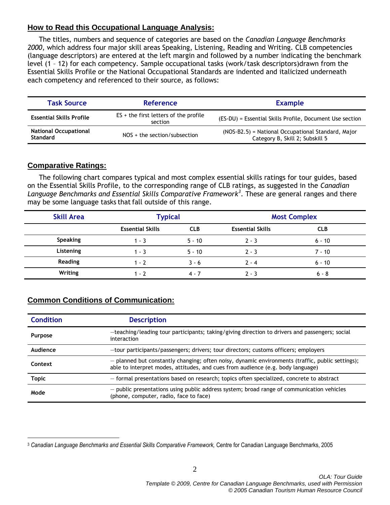## **How to Read this Occupational Language Analysis:**

The titles, numbers and sequence of categories are based on the *Canadian Language Benchmarks 2000*, which address four major skill areas Speaking, Listening, Reading and Writing. CLB competencies (language descriptors) are entered at the left margin and followed by a number indicating the benchmark level (1 – 12) for each competency. Sample occupational tasks (work/task descriptors)drawn from the Essential Skills Profile or the National Occupational Standards are indented and italicized underneath each competency and referenced to their source, as follows:

| <b>Task Source</b>                       | <b>Reference</b>                                   | <b>Example</b>                                                                        |  |
|------------------------------------------|----------------------------------------------------|---------------------------------------------------------------------------------------|--|
| <b>Essential Skills Profile</b>          | $ES + the first letters of the profile$<br>section | (ES-DU) = Essential Skills Profile, Document Use section                              |  |
| <b>National Occupational</b><br>Standard | $NOS +$ the section/subsection                     | (NOS-B2.5) = National Occupational Standard, Major<br>Category B, Skill 2; Subskill 5 |  |

## **Comparative Ratings:**

 $\overline{a}$ 

The following chart compares typical and most complex essential skills ratings for tour guides, based on the Essential Skills Profile, to the corresponding range of CLB ratings, as suggested in the *Canadian Language Benchmarks and Essential Skills Comparative Framework<sup>3</sup>* . These are general ranges and there may be some language tasks that fall outside of this range.

| <b>Skill Area</b> | <b>Typical</b>          |            | <b>Most Complex</b>     |            |
|-------------------|-------------------------|------------|-------------------------|------------|
|                   | <b>Essential Skills</b> | <b>CLB</b> | <b>Essential Skills</b> | <b>CLB</b> |
| <b>Speaking</b>   | $1 - 3$                 | $5 - 10$   | $2 - 3$                 | $6 - 10$   |
| Listening         | $1 - 3$                 | $5 - 10$   | $2 - 3$                 | $7 - 10$   |
| Reading           | $1 - 2$                 | $3 - 6$    | $2 - 4$                 | $6 - 10$   |
| Writing           | $1 - 7$                 | 4 - 7      | $2 - 3$                 | $6 - 8$    |

# **Common Conditions of Communication:**

| <b>Condition</b> | <b>Description</b>                                                                                                                                                                    |
|------------------|---------------------------------------------------------------------------------------------------------------------------------------------------------------------------------------|
| <b>Purpose</b>   | -teaching/leading tour participants; taking/giving direction to drivers and passengers; social<br>interaction                                                                         |
| Audience         | -tour participants/passengers; drivers; tour directors; customs officers; employers                                                                                                   |
| Context          | $-$ planned but constantly changing; often noisy, dynamic environments (traffic, public settings);<br>able to interpret modes, attitudes, and cues from audience (e.g. body language) |
| <b>Topic</b>     | - formal presentations based on research; topics often specialized, concrete to abstract                                                                                              |
| Mode             | - public presentations using public address system; broad range of communication vehicles<br>(phone, computer, radio, face to face)                                                   |

<sup>3</sup> *Canadian Language Benchmarks and Essential Skills Comparative Framework,* Centre for Canadian Language Benchmarks, 2005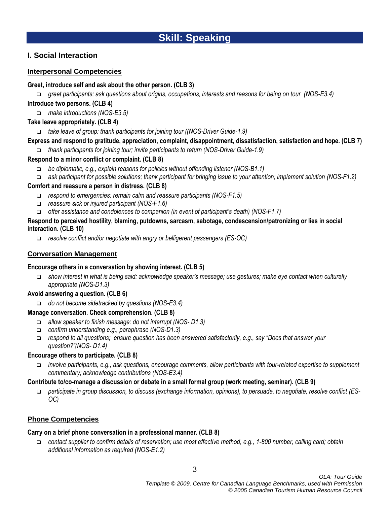# **Skill: Speaking**

## **I. Social Interaction**

### **Interpersonal Competencies**

### **Greet, introduce self and ask about the other person. (CLB 3)**

*greet participants; ask questions about origins, occupations, interests and reasons for being on tour (NOS-E3.4)*

### **Introduce two persons. (CLB 4)**

*make introductions (NOS-E3.5)*

### **Take leave appropriately. (CLB 4)**

*take leave of group: thank participants for joining tour ((NOS-Driver Guide-1.9)*

### **Express and respond to gratitude, appreciation, complaint, disappointment, dissatisfaction, satisfaction and hope. (CLB 7)**

*thank participants for joining tour; invite participants to return (NOS-Driver Guide-1.9)*

### **Respond to a minor conflict or complaint. (CLB 8)**

- *be diplomatic, e.g., explain reasons for policies without offending listener (NOS-B1.1)*
- *ask participant for possible solutions; thank participant for bringing issue to your attention; implement solution (NOS-F1.2)*

### **Comfort and reassure a person in distress. (CLB 8)**

- *respond to emergencies: remain calm and reassure participants (NOS-F1.5)*
- *reassure sick or injured participant (NOS-F1.6)*
- *offer assistance and condolences to companion (in event of participant's death) (NOS-F1.7)*

### **Respond to perceived hostility, blaming, putdowns, sarcasm, sabotage, condescension/patronizing or lies in social interaction. (CLB 10)**

*resolve conflict and/or negotiate with angry or belligerent passengers (ES-OC)*

### **Conversation Management**

### **Encourage others in a conversation by showing interest. (CLB 5)**

 *show interest in what is being said: acknowledge speaker's message; use gestures; make eye contact when culturally appropriate (NOS-D1.3)*

### **Avoid answering a question. (CLB 6)**

*do not become sidetracked by questions (NOS-E3.4)*

### **Manage conversation. Check comprehension. (CLB 8)**

- *allow speaker to finish message: do not interrupt (NOS- D1.3)*
- *confirm understanding e.g., paraphrase (NOS-D1.3)*
- *respond to all questions; ensure question has been answered satisfactorily, e.g., say "Does that answer your question?"(NOS- D1.4)*

### **Encourage others to participate. (CLB 8)**

 *involve participants, e.g., ask questions, encourage comments, allow participants with tour-related expertise to supplement commentary; acknowledge contributions (NOS-E3.4)*

### **Contribute to/co-manage a discussion or debate in a small formal group (work meeting, seminar). (CLB 9)**

 *participate in group discussion, to discuss (exchange information, opinions), to persuade, to negotiate, resolve conflict (ES-OC)*

## **Phone Competencies**

### **Carry on a brief phone conversation in a professional manner. (CLB 8)**

 *contact supplier to confirm details of reservation; use most effective method, e.g., 1-800 number, calling card; obtain additional information as required (NOS-E1.2)*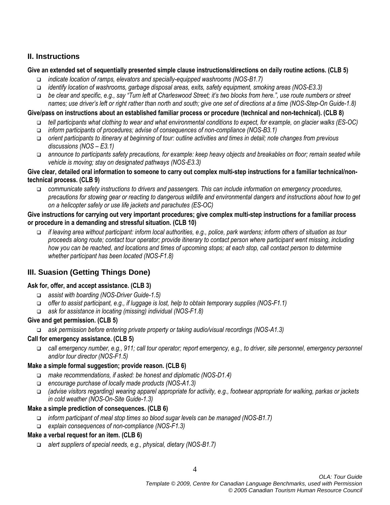# **II. Instructions**

### **Give an extended set of sequentially presented simple clause instructions/directions on daily routine actions. (CLB 5)**

- *indicate location of ramps, elevators and specially-equipped washrooms (NOS-B1.7)*
- *identify location of washrooms, garbage disposal areas, exits, safety equipment, smoking areas (NOS-E3.3)*
- *be clear and specific, e.g., say "Turn left at Charleswood Street; it's two blocks from here.", use route numbers or street names; use driver's left or right rather than north and south; give one set of directions at a time (NOS-Step-On Guide-1.8)*

#### **Give/pass on instructions about an established familiar process or procedure (technical and non-technical). (CLB 8)**

- *tell participants what clothing to wear and what environmental conditions to expect, for example, on glacier walks (ES-OC)*
- *inform participants of procedures; advise of consequences of non-compliance (NOS-B3.1)*
- *orient participants to itinerary at beginning of tour: outline activities and times in detail; note changes from previous discussions (NOS – E3.1)*
- *announce to participants safety precautions, for example: keep heavy objects and breakables on floor; remain seated while vehicle is moving; stay on designated pathways (NOS-E3.3)*

### **Give clear, detailed oral information to someone to carry out complex multi-step instructions for a familiar technical/nontechnical process. (CLB 9)**

 *communicate safety instructions to drivers and passengers. This can include information on emergency procedures, precautions for stowing gear or reacting to dangerous wildlife and environmental dangers and instructions about how to get on a helicopter safely or use life jackets and parachutes (ES-OC)*

### **Give instructions for carrying out very important procedures; give complex multi-step instructions for a familiar process or procedure in a demanding and stressful situation. (CLB 10)**

 *if leaving area without participant: inform local authorities, e.g., police, park wardens; inform others of situation as tour proceeds along route; contact tour operator; provide itinerary to contact person where participant went missing, including how you can be reached, and locations and times of upcoming stops; at each stop, call contact person to determine whether participant has been located (NOS-F1.8)*

# **III. Suasion (Getting Things Done)**

### **Ask for, offer, and accept assistance. (CLB 3)**

- *assist with boarding (NOS-Driver Guide-1.5)*
- *offer to assist participant, e.g., if luggage is lost, help to obtain temporary supplies (NOS-F1.1)*
- *ask for assistance in locating (missing) individual (NOS-F1.8)*

### **Give and get permission. (CLB 5)**

*ask permission before entering private property or taking audio/visual recordings (NOS-A1.3)*

### **Call for emergency assistance. (CLB 5)**

 *call emergency number, e.g., 911; call tour operator; report emergency, e.g., to driver, site personnel, emergency personnel and/or tour director (NOS-F1.5)*

### **Make a simple formal suggestion; provide reason. (CLB 6)**

- *make recommendations, if asked: be honest and diplomatic (NOS-D1.4)*
- *encourage purchase of locally made products (NOS-A1.3)*
- *(advise visitors regarding) wearing apparel appropriate for activity, e.g., footwear appropriate for walking, parkas or jackets in cold weather (NOS-On-Site Guide-1.3)*

### **Make a simple prediction of consequences. (CLB 6)**

- *inform participant of meal stop times so blood sugar levels can be managed (NOS-B1.7)*
- *explain consequences of non-compliance (NOS-F1.3)*

### **Make a verbal request for an item. (CLB 6)**

*alert suppliers of special needs, e.g., physical, dietary (NOS-B1.7)*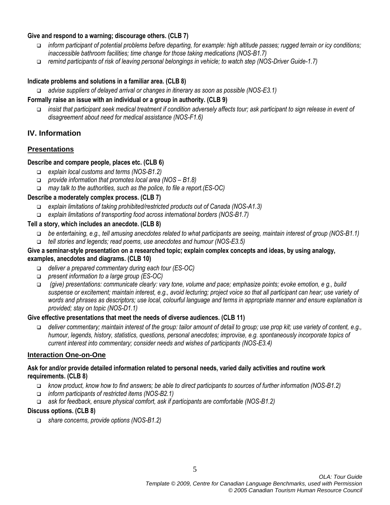### **Give and respond to a warning; discourage others. (CLB 7)**

- *inform participant of potential problems before departing, for example: high altitude passes; rugged terrain or icy conditions; inaccessible bathroom facilities; time change for those taking medications (NOS-B1.7)*
- *remind participants of risk of leaving personal belongings in vehicle; to watch step (NOS-Driver Guide-1.7)*

#### **Indicate problems and solutions in a familiar area. (CLB 8)**

*advise suppliers of delayed arrival or changes in itinerary as soon as possible (NOS-E3.1)*

#### **Formally raise an issue with an individual or a group in authority. (CLB 9)**

 *insist that participant seek medical treatment if condition adversely affects tour; ask participant to sign release in event of disagreement about need for medical assistance (NOS-F1.6)*

## **IV. Information**

### **Presentations**

#### **Describe and compare people, places etc. (CLB 6)**

- *explain local customs and terms (NOS-B1.2)*
- *provide information that promotes local area (NOS – B1.8)*
- *may talk to the authorities, such as the police, to file a report.(ES-OC)*

### **Describe a moderately complex process. (CLB 7)**

- *explain limitations of taking prohibited/restricted products out of Canada (NOS-A1.3)*
- *explain limitations of transporting food across international borders (NOS-B1.7)*

### **Tell a story, which includes an anecdote. (CLB 8)**

- *be entertaining, e.g., tell amusing anecdotes related to what participants are seeing, maintain interest of group (NOS-B1.1)*
- *tell stories and legends; read poems, use anecdotes and humour (NOS-E3.5)*

#### **Give a seminar-style presentation on a researched topic; explain complex concepts and ideas, by using analogy, examples, anecdotes and diagrams. (CLB 10)**

- *deliver a prepared commentary during each tour (ES-OC)*
- *present information to a large group (ES-OC)*
- *(give) presentations: communicate clearly: vary tone, volume and pace; emphasize points; evoke emotion, e g., build suspense or excitement; maintain interest, e.g., avoid lecturing; project voice so that all participant can hear; use variety of words and phrases as descriptors; use local, colourful language and terms in appropriate manner and ensure explanation is provided; stay on topic (NOS-D1.1)*

#### **Give effective presentations that meet the needs of diverse audiences. (CLB 11)**

 *deliver commentary; maintain interest of the group: tailor amount of detail to group; use prop kit; use variety of content, e.g., humour, legends, history, statistics, questions, personal anecdotes; improvise, e.g. spontaneously incorporate topics of current interest into commentary; consider needs and wishes of participants (NOS-E3.4)*

### **Interaction One-on-One**

#### **Ask for and/or provide detailed information related to personal needs, varied daily activities and routine work requirements. (CLB 8)**

- *know product, know how to find answers; be able to direct participants to sources of further information (NOS-B1.2)*
- *inform participants of restricted items (NOS-B2.1)*
- *ask for feedback, ensure physical comfort, ask if participants are comfortable (NOS-B1.2)*

#### **Discuss options. (CLB 8)**

*share concerns, provide options (NOS-B1.2)*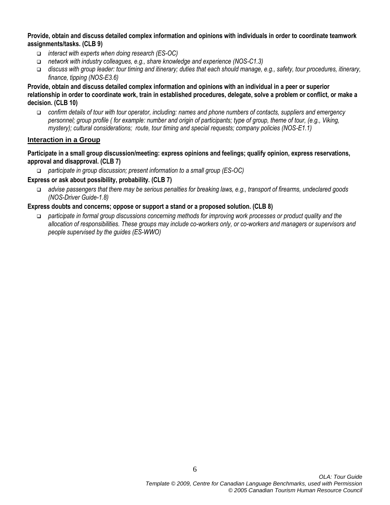#### **Provide, obtain and discuss detailed complex information and opinions with individuals in order to coordinate teamwork assignments/tasks. (CLB 9)**

- *interact with experts when doing research (ES-OC)*
- *network with industry colleagues, e.g., share knowledge and experience (NOS-C1.3)*
- *discuss with group leader: tour timing and itinerary; duties that each should manage, e.g., safety, tour procedures, itinerary, finance, tipping (NOS-E3.6)*

**Provide, obtain and discuss detailed complex information and opinions with an individual in a peer or superior relationship in order to coordinate work, train in established procedures, delegate, solve a problem or conflict, or make a decision. (CLB 10)**

 *confirm details of tour with tour operator, including: names and phone numbers of contacts, suppliers and emergency personnel; group profile ( for example: number and origin of participants; type of group, theme of tour, (e.g., Viking, mystery); cultural considerations; route, tour timing and special requests; company policies (NOS-E1.1)* 

#### **Interaction in a Group**

**Participate in a small group discussion/meeting: express opinions and feelings; qualify opinion, express reservations, approval and disapproval. (CLB 7)**

*participate in group discussion; present information to a small group (ES-OC)*

#### **Express or ask about possibility, probability. (CLB 7)**

 *advise passengers that there may be serious penalties for breaking laws, e.g., transport of firearms, undeclared goods (NOS-Driver Guide-1.8)*

### **Express doubts and concerns; oppose or support a stand or a proposed solution. (CLB 8)**

 *participate in formal group discussions concerning methods for improving work processes or product quality and the allocation of responsibilities. These groups may include co-workers only, or co-workers and managers or supervisors and people supervised by the guides (ES-WWO)*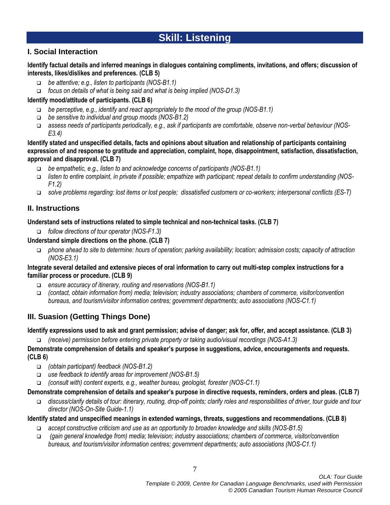# **Skill: Listening**

# **I. Social Interaction**

### **Identify factual details and inferred meanings in dialogues containing compliments, invitations, and offers; discussion of interests, likes/dislikes and preferences. (CLB 5)**

- *be attentive; e.g., listen to participants (NOS-B1.1)*
- *focus on details of what is being said and what is being implied (NOS-D1.3)*

### **Identify mood/attitude of participants. (CLB 6)**

- *be perceptive, e.g., identify and react appropriately to the mood of the group (NOS-B1.1)*
- *be sensitive to individual and group moods (NOS-B1.2)*
- *assess needs of participants periodically, e.g., ask if participants are comfortable, observe non-verbal behaviour (NOS-E3.4)*

**Identify stated and unspecified details, facts and opinions about situation and relationship of participants containing expression of and response to gratitude and appreciation, complaint, hope, disappointment, satisfaction, dissatisfaction, approval and disapproval. (CLB 7)**

- *be empathetic, e.g., listen to and acknowledge concerns of participants (NOS-B1.1)*
- *listen to entire complaint, in private if possible; empathize with participant; repeat details to confirm understanding (NOS-F1.2)*
- *solve problems regarding: lost items or lost people; dissatisfied customers or co-workers; interpersonal conflicts (ES-T)*

# **II. Instructions**

### **Understand sets of instructions related to simple technical and non-technical tasks. (CLB 7)**

- *follow directions of tour operator (NOS-F1.3)*
- **Understand simple directions on the phone. (CLB 7)**
	- *phone ahead to site to determine: hours of operation; parking availability; location; admission costs; capacity of attraction (NOS-E3.1)*

### **Integrate several detailed and extensive pieces of oral information to carry out multi-step complex instructions for a familiar process or procedure. (CLB 9)**

- *ensure accuracy of itinerary, routing and reservations (NOS-B1.1)*
- *(contact, obtain information from) media; television; industry associations; chambers of commerce, visitor/convention bureaus, and tourism/visitor information centres; government departments; auto associations (NOS-C1.1)*

# **III. Suasion (Getting Things Done)**

## **Identify expressions used to ask and grant permission; advise of danger; ask for, offer, and accept assistance. (CLB 3)**

*(receive) permission before entering private property or taking audio/visual recordings (NOS-A1.3)*

**Demonstrate comprehension of details and speaker's purpose in suggestions, advice, encouragements and requests. (CLB 6)**

- *(obtain participant) feedback (NOS-B1.2)*
- *use feedback to identify areas for improvement (NOS-B1.5)*
- *(consult with) content experts, e.g., weather bureau, geologist, forester (NOS-C1.1)*

## **Demonstrate comprehension of details and speaker's purpose in directive requests, reminders, orders and pleas. (CLB 7)**

 *discuss/clarify details of tour: itinerary, routing, drop-off points; clarify roles and responsibilities of driver, tour guide and tour director (NOS-On-Site Guide-1.1)*

## **Identify stated and unspecified meanings in extended warnings, threats, suggestions and recommendations. (CLB 8)**

- *accept constructive criticism and use as an opportunity to broaden knowledge and skills (NOS-B1.5)*
- *(gain general knowledge from) media; television; industry associations; chambers of commerce, visitor/convention bureaus, and tourism/visitor information centres; government departments; auto associations (NOS-C1.1)*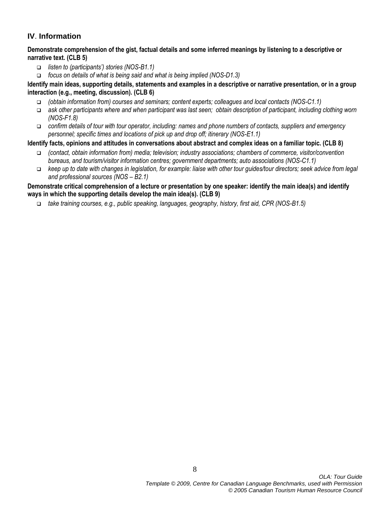# **IV**. **Information**

**Demonstrate comprehension of the gist, factual details and some inferred meanings by listening to a descriptive or narrative text. (CLB 5)**

- *listen to (participants') stories (NOS-B1.1)*
- *focus on details of what is being said and what is being implied (NOS-D1.3)*

**Identify main ideas, supporting details, statements and examples in a descriptive or narrative presentation, or in a group interaction (e.g., meeting, discussion). (CLB 6)**

- *(obtain information from) courses and seminars; content experts; colleagues and local contacts (NOS-C1.1)*
- *ask other participants where and when participant was last seen; obtain description of participant, including clothing worn (NOS-F1.8)*
- *confirm details of tour with tour operator, including: names and phone numbers of contacts, suppliers and emergency personnel; specific times and locations of pick up and drop off; itinerary (NOS-E1.1)*

## **Identify facts, opinions and attitudes in conversations about abstract and complex ideas on a familiar topic. (CLB 8)**

- *(contact, obtain information from) media; television; industry associations; chambers of commerce, visitor/convention bureaus, and tourism/visitor information centres; government departments; auto associations (NOS-C1.1)*
- *keep up to date with changes in legislation, for example: liaise with other tour guides/tour directors; seek advice from legal and professional sources (NOS – B2.1)*

### **Demonstrate critical comprehension of a lecture or presentation by one speaker: identify the main idea(s) and identify ways in which the supporting details develop the main idea(s). (CLB 9)**

*take training courses, e.g., public speaking, languages, geography, history, first aid, CPR (NOS-B1.5)*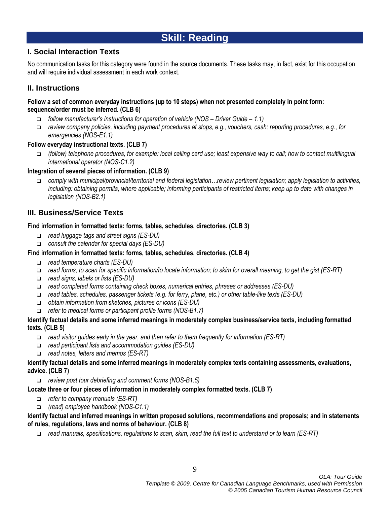# **Skill: Reading**

# **I. Social Interaction Texts**

No communication tasks for this category were found in the source documents. These tasks may, in fact, exist for this occupation and will require individual assessment in each work context.

# **II. Instructions**

### **Follow a set of common everyday instructions (up to 10 steps) when not presented completely in point form: sequence/order must be inferred. (CLB 6)**

- *follow manufacturer's instructions for operation of vehicle (NOS – Driver Guide – 1.1)*
- *review company policies, including payment procedures at stops, e.g., vouchers, cash; reporting procedures, e.g., for emergencies (NOS-E1.1)*

## **Follow everyday instructional texts. (CLB 7)**

 *(follow) telephone procedures, for example: local calling card use; least expensive way to call; how to contact multilingual international operator (NOS-C1.2)*

### **Integration of several pieces of information. (CLB 9)**

 *comply with municipal/provincial/territorial and federal legislation…review pertinent legislation; apply legislation to activities, including: obtaining permits, where applicable; informing participants of restricted items; keep up to date with changes in legislation (NOS-B2.1)*

# **III. Business/Service Texts**

### **Find information in formatted texts: forms, tables, schedules, directories. (CLB 3)**

- *read luggage tags and street signs (ES-DU)*
- *consult the calendar for special days (ES-DU)*

### **Find information in formatted texts: forms, tables, schedules, directories. (CLB 4)**

- *read temperature charts (ES-DU)*
- *read forms, to scan for specific information/to locate information; to skim for overall meaning, to get the gist (ES-RT)*
- *read signs, labels or lists (ES-DU)*
- *read completed forms containing check boxes, numerical entries, phrases or addresses (ES-DU)*
- *read tables, schedules, passenger tickets (e.g. for ferry, plane, etc.) or other table-like texts (ES-DU)*
- *obtain information from sketches, pictures or icons (ES-DU)*
- *refer to medical forms or participant profile forms (NOS-B1.7)*

### **Identify factual details and some inferred meanings in moderately complex business/service texts, including formatted texts. (CLB 5)**

- *read visitor guides early in the year, and then refer to them frequently for information (ES-RT)*
- *read participant lists and accommodation guides (ES-DU)*
- *read notes, letters and memos (ES-RT)*

### **Identify factual details and some inferred meanings in moderately complex texts containing assessments, evaluations, advice. (CLB 7)**

*review post tour debriefing and comment forms (NOS-B1.5)*

### **Locate three or four pieces of information in moderately complex formatted texts. (CLB 7)**

- *refer to company manuals (ES-RT)*
- *(read) employee handbook (NOS-C1.1)*

### **Identify factual and inferred meanings in written proposed solutions, recommendations and proposals; and in statements of rules, regulations, laws and norms of behaviour. (CLB 8)**

*read manuals, specifications, regulations to scan, skim, read the full text to understand or to learn (ES-RT)*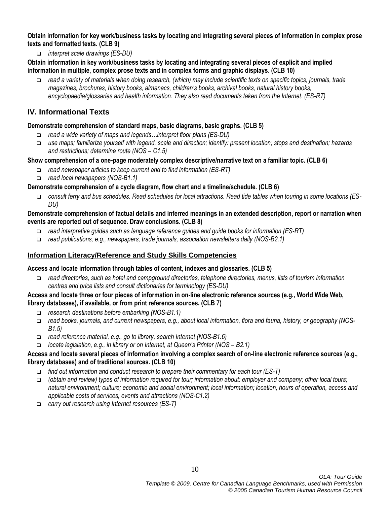**Obtain information for key work/business tasks by locating and integrating several pieces of information in complex prose texts and formatted texts. (CLB 9)**

*interpret scale drawings (ES-DU)*

### **Obtain information in key work/business tasks by locating and integrating several pieces of explicit and implied information in multiple, complex prose texts and in complex forms and graphic displays. (CLB 10)**

 *read a variety of materials when doing research, (which) may include scientific texts on specific topics, journals, trade magazines, brochures, history books, almanacs, children's books, archival books, natural history books, encyclopaedia/glossaries and health information. They also read documents taken from the Internet. (ES-RT)*

# **IV. Informational Texts**

### **Demonstrate comprehension of standard maps, basic diagrams, basic graphs. (CLB 5)**

- *read a wide variety of maps and legends…interpret floor plans (ES-DU)*
- *use maps; familiarize yourself with legend, scale and direction; identify: present location; stops and destination; hazards and restrictions; determine route (NOS – C1.5)*

### **Show comprehension of a one-page moderately complex descriptive/narrative text on a familiar topic. (CLB 6)**

- *read newspaper articles to keep current and to find information (ES-RT)*
- *read local newspapers (NOS-B1.1)*

### **Demonstrate comprehension of a cycle diagram, flow chart and a timeline/schedule. (CLB 6)**

 *consult ferry and bus schedules. Read schedules for local attractions. Read tide tables when touring in some locations (ES-DU)*

### **Demonstrate comprehension of factual details and inferred meanings in an extended description, report or narration when events are reported out of sequence. Draw conclusions. (CLB 8)**

- *read interpretive guides such as language reference guides and guide books for information (ES-RT)*
- *read publications, e.g., newspapers, trade journals, association newsletters daily (NOS-B2.1)*

### **Information Literacy/Reference and Study Skills Competencies**

#### **Access and locate information through tables of content, indexes and glossaries. (CLB 5)**

 *read directories, such as hotel and campground directories, telephone directories, menus, lists of tourism information centres and price lists and consult dictionaries for terminology (ES-DU)* 

### **Access and locate three or four pieces of information in on-line electronic reference sources (e.g., World Wide Web, library databases), if available, or from print reference sources. (CLB 7)**

- *research destinations before embarking (NOS-B1.1)*
- *read books, journals, and current newspapers, e.g., about local information, flora and fauna, history, or geography (NOS-B1.5)*
- *read reference material, e.g., go to library, search Internet (NOS-B1.6)*
- *locate legislation, e.g., in library or on Internet, at Queen's Printer (NOS – B2.1)*

### **Access and locate several pieces of information involving a complex search of on-line electronic reference sources (e.g., library databases) and of traditional sources. (CLB 10)**

- *find out information and conduct research to prepare their commentary for each tour (ES-T)*
- *(obtain and review) types of information required for tour; information about: employer and company; other local tours; natural environment; culture; economic and social environment; local information; location, hours of operation, access and applicable costs of services, events and attractions (NOS-C1.2)*
- *carry out research using Internet resources (ES-T)*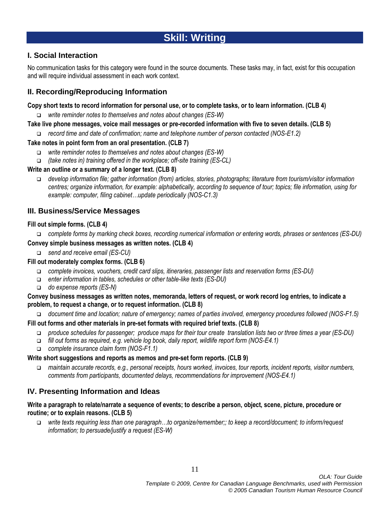# **Skill: Writing**

# **I. Social Interaction**

No communication tasks for this category were found in the source documents. These tasks may, in fact, exist for this occupation and will require individual assessment in each work context.

# **II. Recording/Reproducing Information**

### **Copy short texts to record information for personal use, or to complete tasks, or to learn information. (CLB 4)**

- *write reminder notes to themselves and notes about changes (ES-W)*
- **Take live phone messages, voice mail messages or pre-recorded information with five to seven details. (CLB 5)**
	- *record time and date of confirmation; name and telephone number of person contacted (NOS-E1.2)*

### **Take notes in point form from an oral presentation. (CLB 7)**

- *write reminder notes to themselves and notes about changes (ES-W)*
- *(take notes in) training offered in the workplace; off-site training (ES-CL)*

### **Write an outline or a summary of a longer text. (CLB 8)**

 *develop information file; gather information (from) articles, stories, photographs; literature from tourism/visitor information centres; organize information, for example: alphabetically, according to sequence of tour; topics; file information, using for example: computer, filing cabinet…update periodically (NOS-C1.3)*

### **III. Business/Service Messages**

### **Fill out simple forms. (CLB 4)**

*complete forms by marking check boxes, recording numerical information or entering words, phrases or sentences (ES-DU)*

### **Convey simple business messages as written notes. (CLB 4)**

*send and receive email (ES-CU)*

### **Fill out moderately complex forms. (CLB 6)**

- *complete invoices, vouchers, credit card slips, itineraries, passenger lists and reservation forms (ES-DU)*
- *enter information in tables, schedules or other table-like texts (ES-DU)*
- *do expense reports (ES-N)*

### **Convey business messages as written notes, memoranda, letters of request, or work record log entries, to indicate a problem, to request a change, or to request information. (CLB 8)**

*document time and location; nature of emergency; names of parties involved, emergency procedures followed (NOS-F1.5)*

### **Fill out forms and other materials in pre-set formats with required brief texts. (CLB 8)**

- *produce schedules for passenger; produce maps for their tour create translation lists two or three times a year (ES-DU)*
- *fill out forms as required, e.g. vehicle log book, daily report, wildlife report form (NOS-E4.1)*
- *complete insurance claim form (NOS-F1.1)*

### **Write short suggestions and reports as memos and pre-set form reports. (CLB 9)**

 *maintain accurate records, e.g., personal receipts, hours worked, invoices, tour reports, incident reports, visitor numbers, comments from participants, documented delays, recommendations for improvement (NOS-E4.1)*

# **IV. Presenting Information and Ideas**

### **Write a paragraph to relate/narrate a sequence of events; to describe a person, object, scene, picture, procedure or routine; or to explain reasons. (CLB 5)**

 *write texts requiring less than one paragraph…to organize/remember;; to keep a record/document; to inform/request information; to persuade/justify a request (ES-W)*